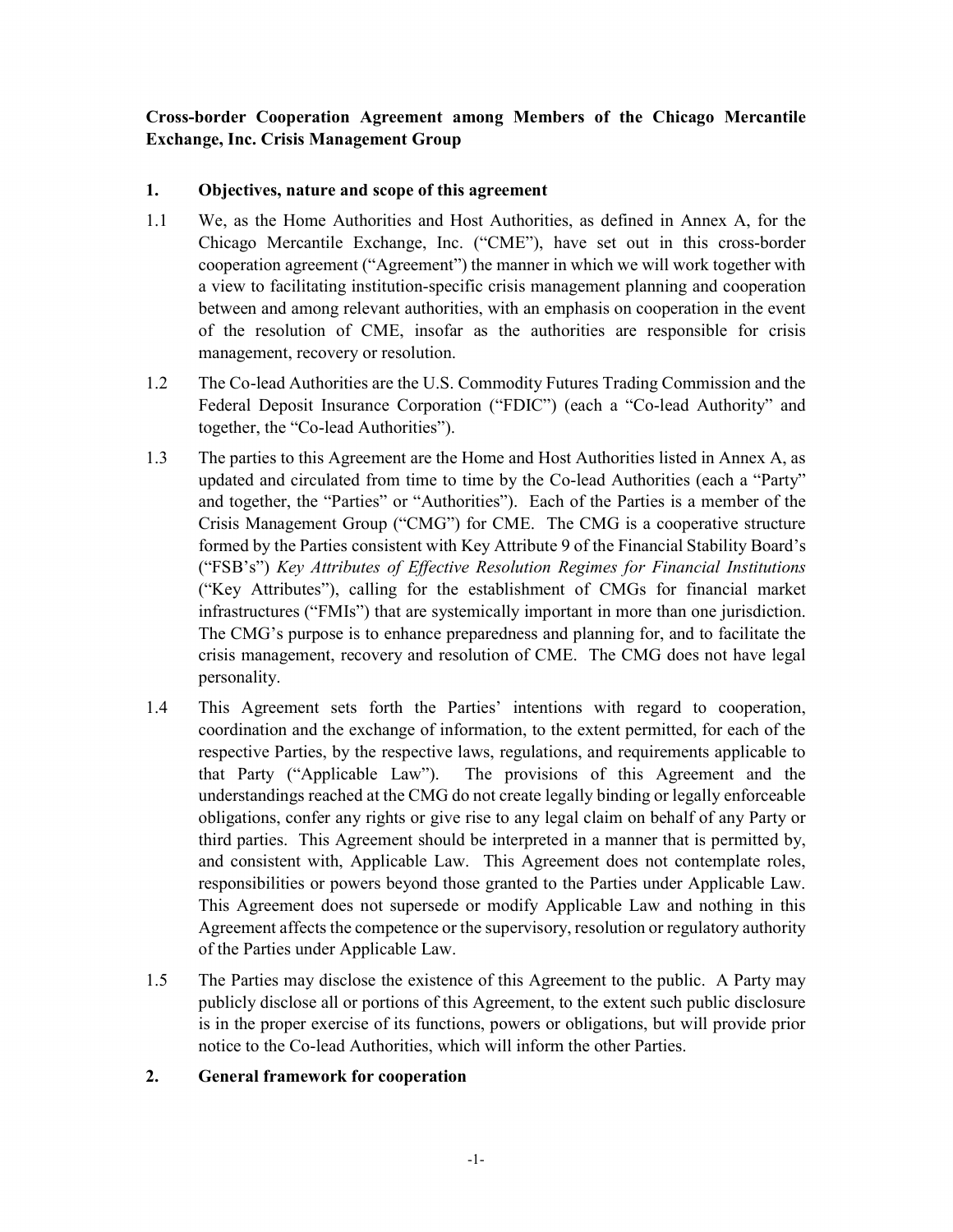## Cross-border Cooperation Agreement among Members of the Chicago Mercantile Exchange, Inc. Crisis Management Group

## 1. Objectives, nature and scope of this agreement

- 1.1 We, as the Home Authorities and Host Authorities, as defined in Annex A, for the Chicago Mercantile Exchange, Inc. ("CME"), have set out in this cross-border cooperation agreement ("Agreement") the manner in which we will work together with a view to facilitating institution-specific crisis management planning and cooperation between and among relevant authorities, with an emphasis on cooperation in the event of the resolution of CME, insofar as the authorities are responsible for crisis management, recovery or resolution.
- 1.2 The Co-lead Authorities are the U.S. Commodity Futures Trading Commission and the Federal Deposit Insurance Corporation ("FDIC") (each a "Co-lead Authority" and together, the "Co-lead Authorities").
- 1.3 The parties to this Agreement are the Home and Host Authorities listed in Annex A, as updated and circulated from time to time by the Co-lead Authorities (each a "Party" and together, the "Parties" or "Authorities"). Each of the Parties is a member of the Crisis Management Group ("CMG") for CME. The CMG is a cooperative structure formed by the Parties consistent with Key Attribute 9 of the Financial Stability Board's ("FSB's") Key Attributes of Effective Resolution Regimes for Financial Institutions ("Key Attributes"), calling for the establishment of CMGs for financial market infrastructures ("FMIs") that are systemically important in more than one jurisdiction. The CMG's purpose is to enhance preparedness and planning for, and to facilitate the crisis management, recovery and resolution of CME. The CMG does not have legal personality.
- 1.4 This Agreement sets forth the Parties' intentions with regard to cooperation, coordination and the exchange of information, to the extent permitted, for each of the respective Parties, by the respective laws, regulations, and requirements applicable to that Party ("Applicable Law"). The provisions of this Agreement and the understandings reached at the CMG do not create legally binding or legally enforceable obligations, confer any rights or give rise to any legal claim on behalf of any Party or third parties. This Agreement should be interpreted in a manner that is permitted by, and consistent with, Applicable Law. This Agreement does not contemplate roles, responsibilities or powers beyond those granted to the Parties under Applicable Law. This Agreement does not supersede or modify Applicable Law and nothing in this Agreement affects the competence or the supervisory, resolution or regulatory authority of the Parties under Applicable Law.
- 1.5 The Parties may disclose the existence of this Agreement to the public. A Party may publicly disclose all or portions of this Agreement, to the extent such public disclosure is in the proper exercise of its functions, powers or obligations, but will provide prior notice to the Co-lead Authorities, which will inform the other Parties.

#### 2. General framework for cooperation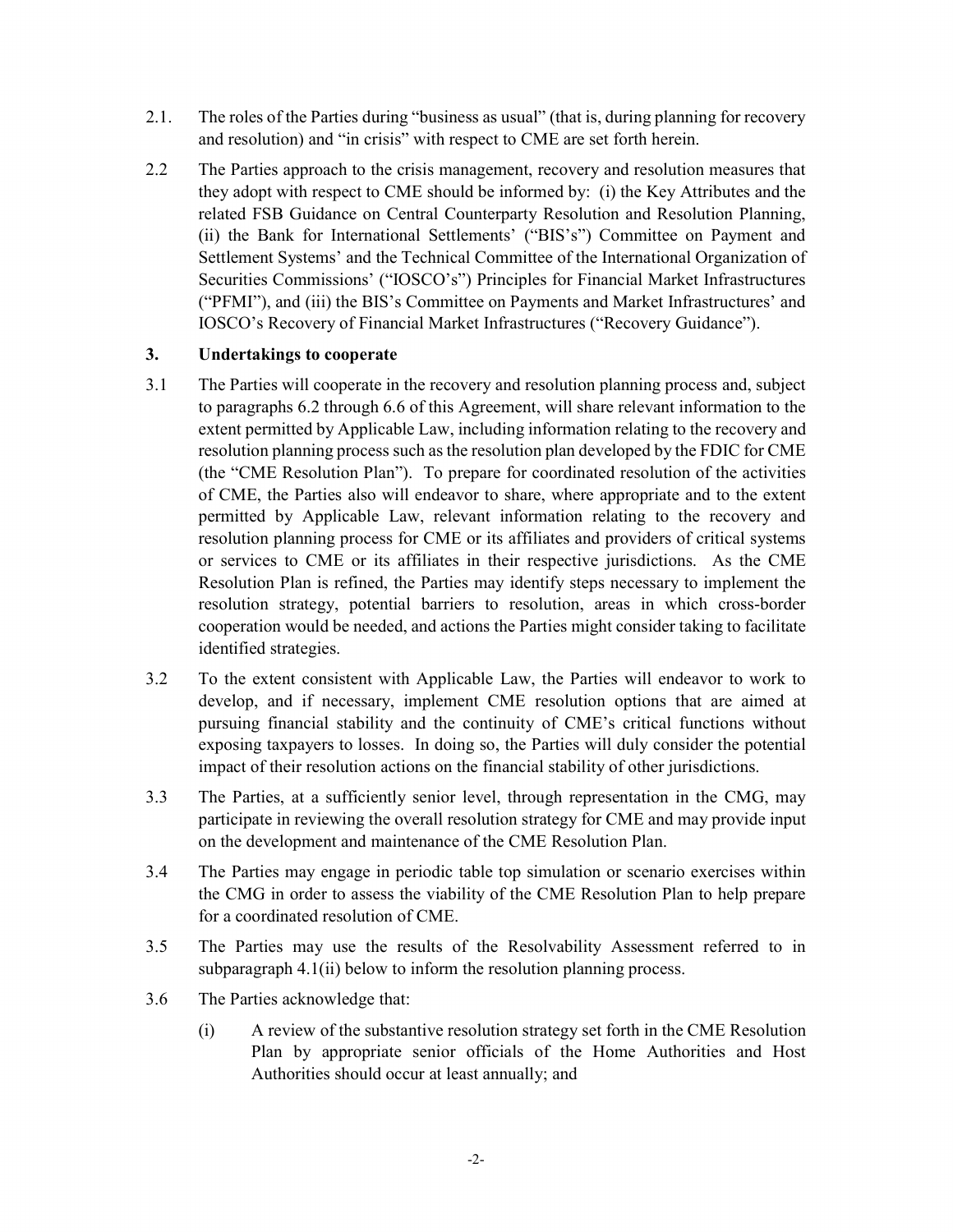- 2.1. The roles of the Parties during "business as usual" (that is, during planning for recovery and resolution) and "in crisis" with respect to CME are set forth herein.
- 2.2 The Parties approach to the crisis management, recovery and resolution measures that they adopt with respect to CME should be informed by: (i) the Key Attributes and the related FSB Guidance on Central Counterparty Resolution and Resolution Planning, (ii) the Bank for International Settlements' ("BIS's") Committee on Payment and Settlement Systems' and the Technical Committee of the International Organization of Securities Commissions' ("IOSCO's") Principles for Financial Market Infrastructures ("PFMI"), and (iii) the BIS's Committee on Payments and Market Infrastructures' and IOSCO's Recovery of Financial Market Infrastructures ("Recovery Guidance").

#### 3. Undertakings to cooperate

- 3.1 The Parties will cooperate in the recovery and resolution planning process and, subject to paragraphs 6.2 through 6.6 of this Agreement, will share relevant information to the extent permitted by Applicable Law, including information relating to the recovery and resolution planning process such as the resolution plan developed by the FDIC for CME (the "CME Resolution Plan"). To prepare for coordinated resolution of the activities of CME, the Parties also will endeavor to share, where appropriate and to the extent permitted by Applicable Law, relevant information relating to the recovery and resolution planning process for CME or its affiliates and providers of critical systems or services to CME or its affiliates in their respective jurisdictions. As the CME Resolution Plan is refined, the Parties may identify steps necessary to implement the resolution strategy, potential barriers to resolution, areas in which cross-border cooperation would be needed, and actions the Parties might consider taking to facilitate identified strategies.
- 3.2 To the extent consistent with Applicable Law, the Parties will endeavor to work to develop, and if necessary, implement CME resolution options that are aimed at pursuing financial stability and the continuity of CME's critical functions without exposing taxpayers to losses. In doing so, the Parties will duly consider the potential impact of their resolution actions on the financial stability of other jurisdictions.
- 3.3 The Parties, at a sufficiently senior level, through representation in the CMG, may participate in reviewing the overall resolution strategy for CME and may provide input on the development and maintenance of the CME Resolution Plan.
- 3.4 The Parties may engage in periodic table top simulation or scenario exercises within the CMG in order to assess the viability of the CME Resolution Plan to help prepare for a coordinated resolution of CME.
- 3.5 The Parties may use the results of the Resolvability Assessment referred to in subparagraph 4.1(ii) below to inform the resolution planning process.
- 3.6 The Parties acknowledge that:
	- (i) A review of the substantive resolution strategy set forth in the CME Resolution Plan by appropriate senior officials of the Home Authorities and Host Authorities should occur at least annually; and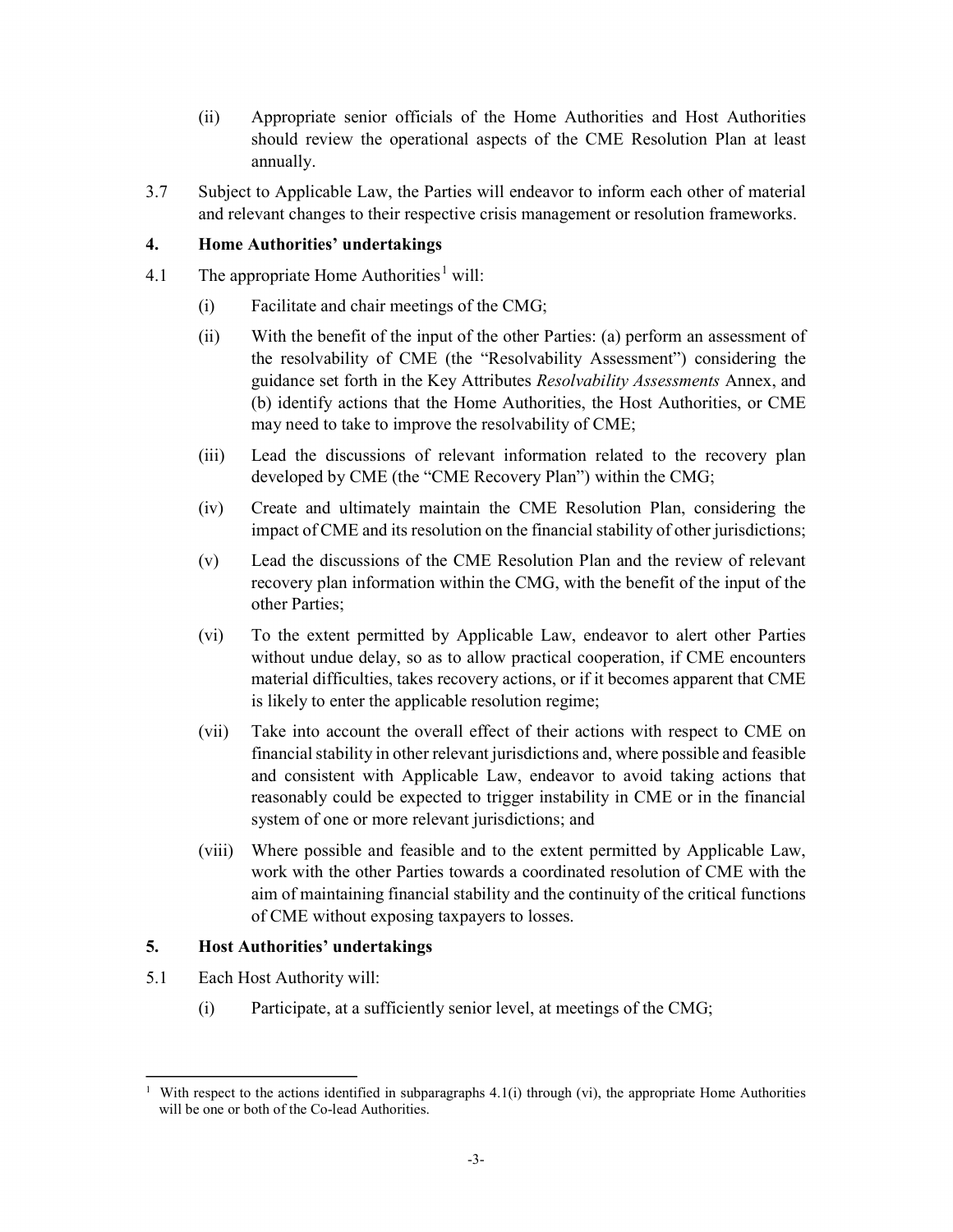- (ii) Appropriate senior officials of the Home Authorities and Host Authorities should review the operational aspects of the CME Resolution Plan at least annually.
- 3.7 Subject to Applicable Law, the Parties will endeavor to inform each other of material and relevant changes to their respective crisis management or resolution frameworks.

## 4. Home Authorities' undertakings

- 4.1 The appropriate Home Authorities<sup>1</sup> will:
	- (i) Facilitate and chair meetings of the CMG;
	- (ii) With the benefit of the input of the other Parties: (a) perform an assessment of the resolvability of CME (the "Resolvability Assessment") considering the guidance set forth in the Key Attributes Resolvability Assessments Annex, and (b) identify actions that the Home Authorities, the Host Authorities, or CME may need to take to improve the resolvability of CME;
	- (iii) Lead the discussions of relevant information related to the recovery plan developed by CME (the "CME Recovery Plan") within the CMG;
	- (iv) Create and ultimately maintain the CME Resolution Plan, considering the impact of CME and its resolution on the financial stability of other jurisdictions;
	- (v) Lead the discussions of the CME Resolution Plan and the review of relevant recovery plan information within the CMG, with the benefit of the input of the other Parties;
	- (vi) To the extent permitted by Applicable Law, endeavor to alert other Parties without undue delay, so as to allow practical cooperation, if CME encounters material difficulties, takes recovery actions, or if it becomes apparent that CME is likely to enter the applicable resolution regime;
	- (vii) Take into account the overall effect of their actions with respect to CME on financial stability in other relevant jurisdictions and, where possible and feasible and consistent with Applicable Law, endeavor to avoid taking actions that reasonably could be expected to trigger instability in CME or in the financial system of one or more relevant jurisdictions; and
	- (viii) Where possible and feasible and to the extent permitted by Applicable Law, work with the other Parties towards a coordinated resolution of CME with the aim of maintaining financial stability and the continuity of the critical functions of CME without exposing taxpayers to losses.

#### 5. Host Authorities' undertakings

- 5.1 Each Host Authority will:
	- (i) Participate, at a sufficiently senior level, at meetings of the CMG;

<sup>&</sup>lt;sup>1</sup> With respect to the actions identified in subparagraphs 4.1(i) through (vi), the appropriate Home Authorities will be one or both of the Co-lead Authorities.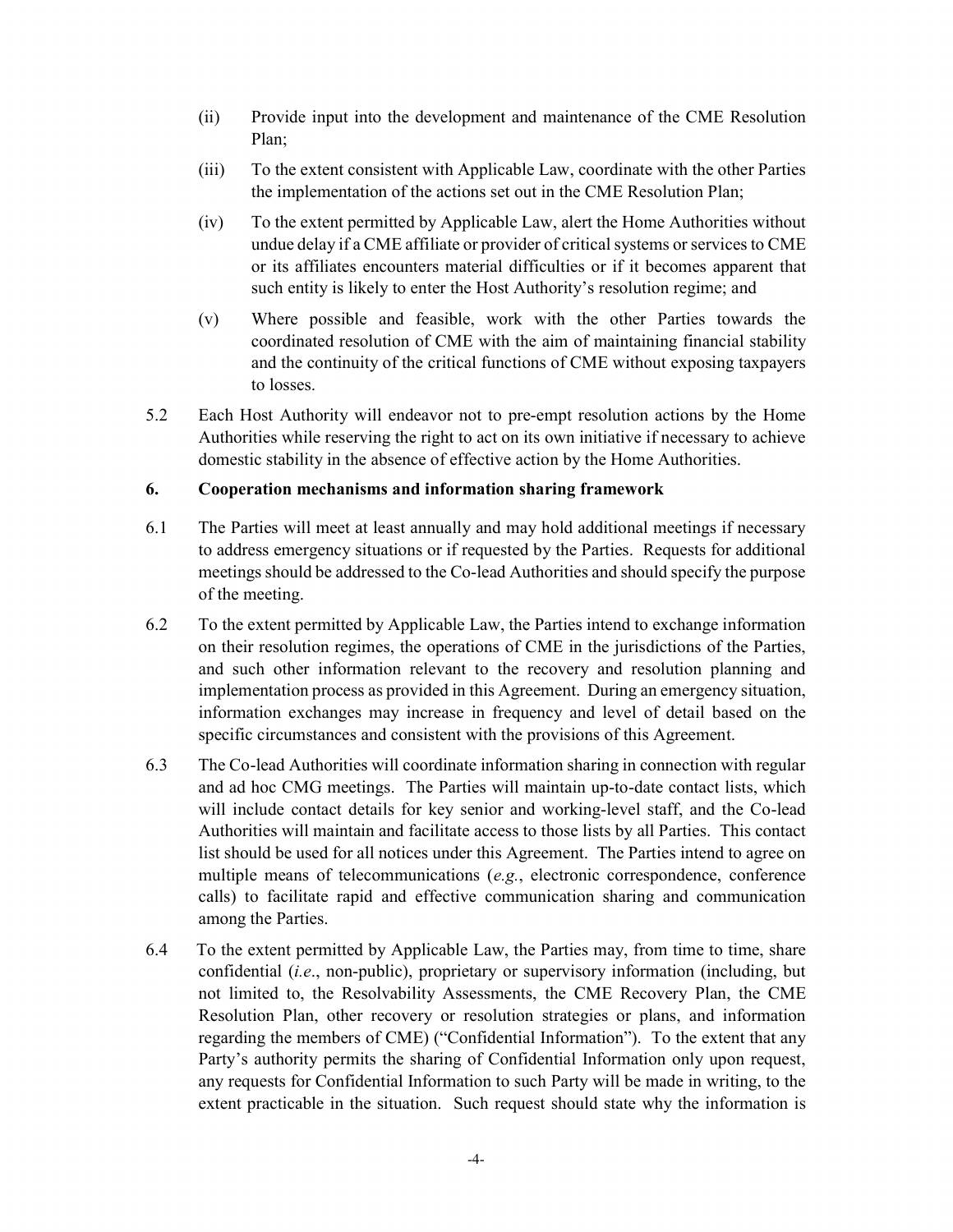- (ii) Provide input into the development and maintenance of the CME Resolution Plan;
- (iii) To the extent consistent with Applicable Law, coordinate with the other Parties the implementation of the actions set out in the CME Resolution Plan;
- (iv) To the extent permitted by Applicable Law, alert the Home Authorities without undue delay if a CME affiliate or provider of critical systems or services to CME or its affiliates encounters material difficulties or if it becomes apparent that such entity is likely to enter the Host Authority's resolution regime; and
- (v) Where possible and feasible, work with the other Parties towards the coordinated resolution of CME with the aim of maintaining financial stability and the continuity of the critical functions of CME without exposing taxpayers to losses.
- 5.2 Each Host Authority will endeavor not to pre-empt resolution actions by the Home Authorities while reserving the right to act on its own initiative if necessary to achieve domestic stability in the absence of effective action by the Home Authorities.

#### 6. Cooperation mechanisms and information sharing framework

- 6.1 The Parties will meet at least annually and may hold additional meetings if necessary to address emergency situations or if requested by the Parties. Requests for additional meetings should be addressed to the Co-lead Authorities and should specify the purpose of the meeting.
- 6.2 To the extent permitted by Applicable Law, the Parties intend to exchange information on their resolution regimes, the operations of CME in the jurisdictions of the Parties, and such other information relevant to the recovery and resolution planning and implementation process as provided in this Agreement. During an emergency situation, information exchanges may increase in frequency and level of detail based on the specific circumstances and consistent with the provisions of this Agreement.
- 6.3 The Co-lead Authorities will coordinate information sharing in connection with regular and ad hoc CMG meetings. The Parties will maintain up-to-date contact lists, which will include contact details for key senior and working-level staff, and the Co-lead Authorities will maintain and facilitate access to those lists by all Parties. This contact list should be used for all notices under this Agreement. The Parties intend to agree on multiple means of telecommunications  $(e.g.,)$  electronic correspondence, conference calls) to facilitate rapid and effective communication sharing and communication among the Parties.
- 6.4 To the extent permitted by Applicable Law, the Parties may, from time to time, share confidential (i.e., non-public), proprietary or supervisory information (including, but not limited to, the Resolvability Assessments, the CME Recovery Plan, the CME Resolution Plan, other recovery or resolution strategies or plans, and information regarding the members of CME) ("Confidential Information"). To the extent that any Party's authority permits the sharing of Confidential Information only upon request, any requests for Confidential Information to such Party will be made in writing, to the extent practicable in the situation. Such request should state why the information is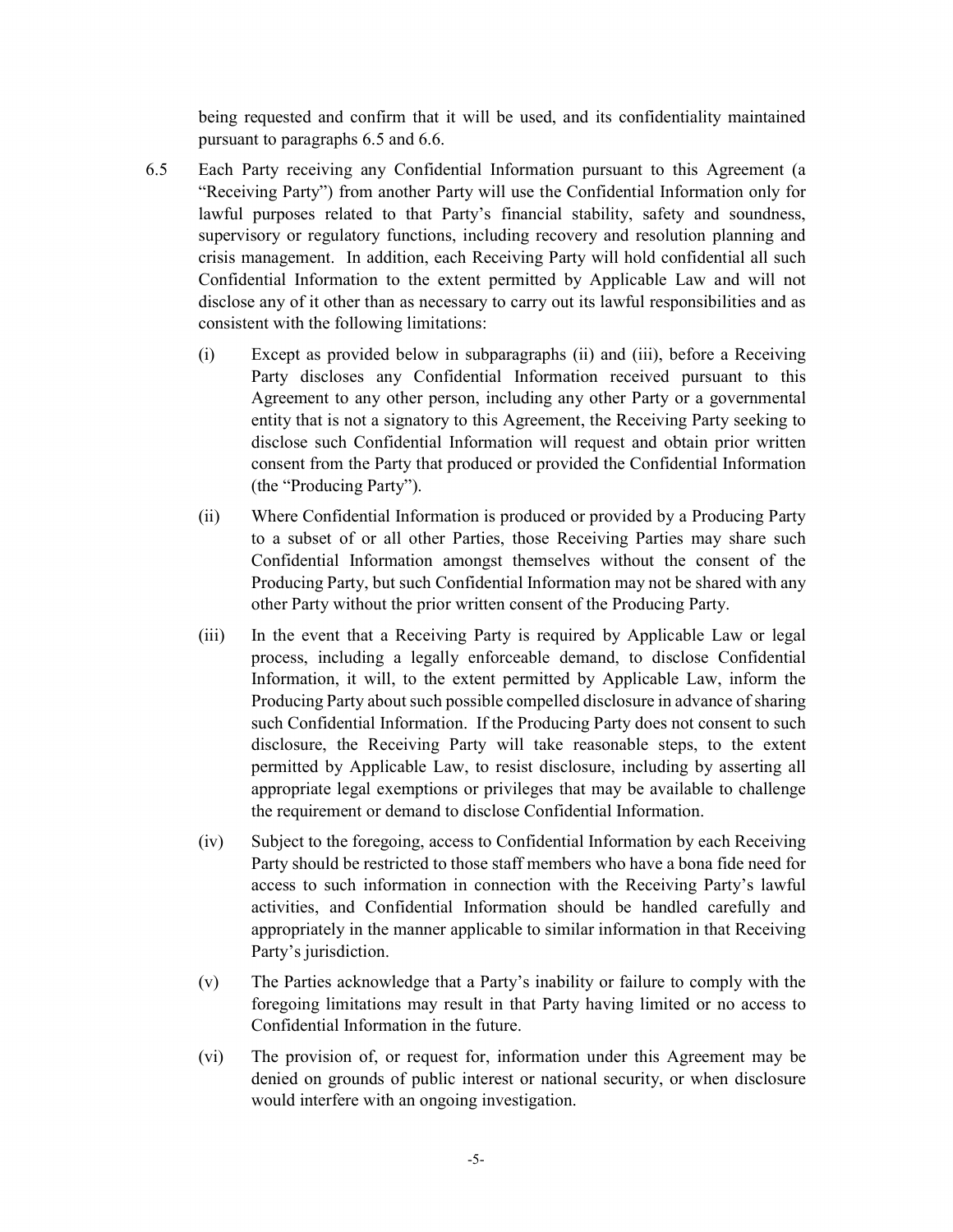being requested and confirm that it will be used, and its confidentiality maintained pursuant to paragraphs 6.5 and 6.6.

- 6.5 Each Party receiving any Confidential Information pursuant to this Agreement (a "Receiving Party") from another Party will use the Confidential Information only for lawful purposes related to that Party's financial stability, safety and soundness, supervisory or regulatory functions, including recovery and resolution planning and crisis management. In addition, each Receiving Party will hold confidential all such Confidential Information to the extent permitted by Applicable Law and will not disclose any of it other than as necessary to carry out its lawful responsibilities and as consistent with the following limitations:
	- (i) Except as provided below in subparagraphs (ii) and (iii), before a Receiving Party discloses any Confidential Information received pursuant to this Agreement to any other person, including any other Party or a governmental entity that is not a signatory to this Agreement, the Receiving Party seeking to disclose such Confidential Information will request and obtain prior written consent from the Party that produced or provided the Confidential Information (the "Producing Party").
	- (ii) Where Confidential Information is produced or provided by a Producing Party to a subset of or all other Parties, those Receiving Parties may share such Confidential Information amongst themselves without the consent of the Producing Party, but such Confidential Information may not be shared with any other Party without the prior written consent of the Producing Party.
	- (iii) In the event that a Receiving Party is required by Applicable Law or legal process, including a legally enforceable demand, to disclose Confidential Information, it will, to the extent permitted by Applicable Law, inform the Producing Party about such possible compelled disclosure in advance of sharing such Confidential Information. If the Producing Party does not consent to such disclosure, the Receiving Party will take reasonable steps, to the extent permitted by Applicable Law, to resist disclosure, including by asserting all appropriate legal exemptions or privileges that may be available to challenge the requirement or demand to disclose Confidential Information.
	- (iv) Subject to the foregoing, access to Confidential Information by each Receiving Party should be restricted to those staff members who have a bona fide need for access to such information in connection with the Receiving Party's lawful activities, and Confidential Information should be handled carefully and appropriately in the manner applicable to similar information in that Receiving Party's jurisdiction.
	- (v) The Parties acknowledge that a Party's inability or failure to comply with the foregoing limitations may result in that Party having limited or no access to Confidential Information in the future.
	- (vi) The provision of, or request for, information under this Agreement may be denied on grounds of public interest or national security, or when disclosure would interfere with an ongoing investigation.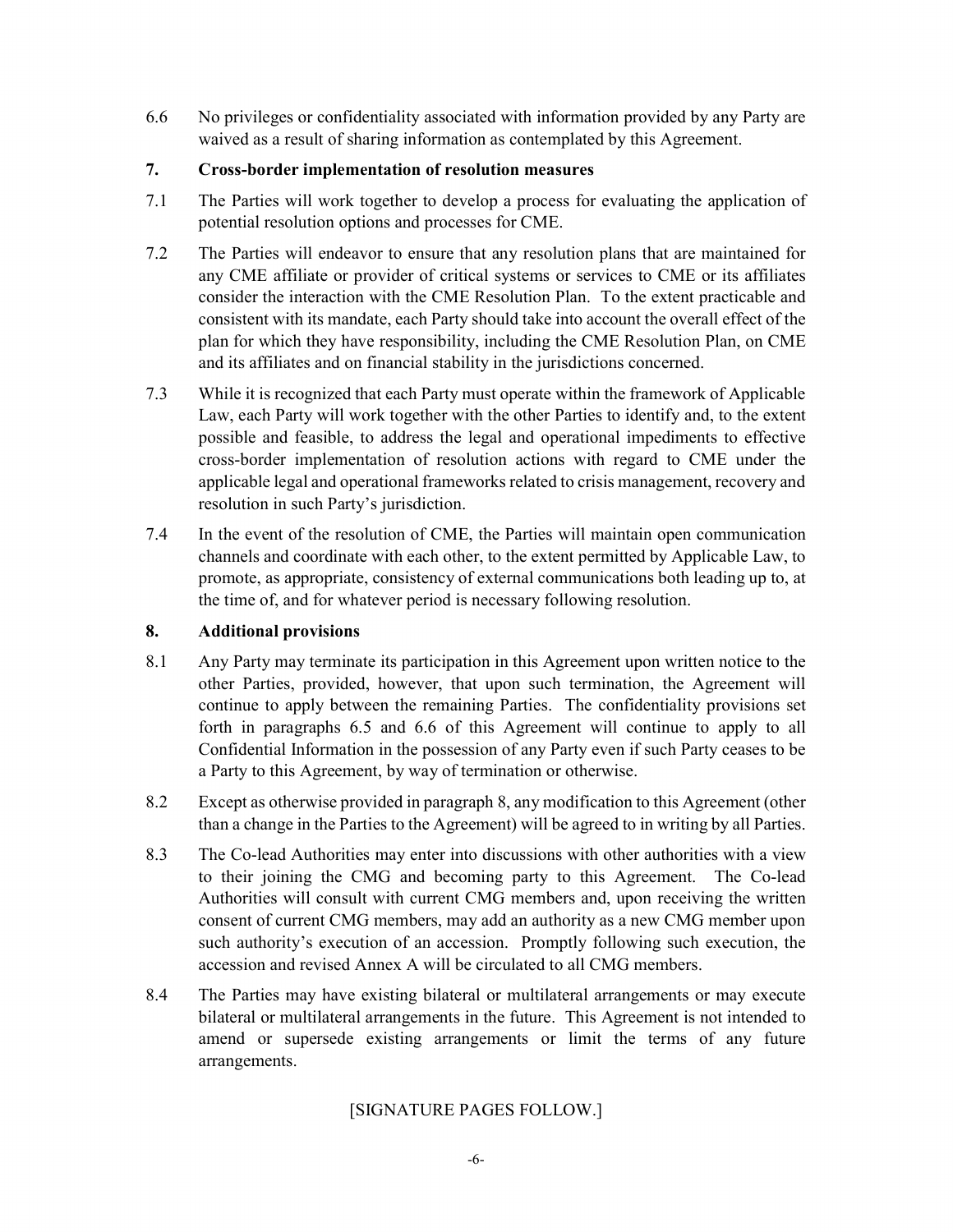6.6 No privileges or confidentiality associated with information provided by any Party are waived as a result of sharing information as contemplated by this Agreement.

#### 7. Cross-border implementation of resolution measures

- 7.1 The Parties will work together to develop a process for evaluating the application of potential resolution options and processes for CME.
- 7.2 The Parties will endeavor to ensure that any resolution plans that are maintained for any CME affiliate or provider of critical systems or services to CME or its affiliates consider the interaction with the CME Resolution Plan. To the extent practicable and consistent with its mandate, each Party should take into account the overall effect of the plan for which they have responsibility, including the CME Resolution Plan, on CME and its affiliates and on financial stability in the jurisdictions concerned.
- 7.3 While it is recognized that each Party must operate within the framework of Applicable Law, each Party will work together with the other Parties to identify and, to the extent possible and feasible, to address the legal and operational impediments to effective cross-border implementation of resolution actions with regard to CME under the applicable legal and operational frameworks related to crisis management, recovery and resolution in such Party's jurisdiction.
- 7.4 In the event of the resolution of CME, the Parties will maintain open communication channels and coordinate with each other, to the extent permitted by Applicable Law, to promote, as appropriate, consistency of external communications both leading up to, at the time of, and for whatever period is necessary following resolution.

## 8. Additional provisions

- 8.1 Any Party may terminate its participation in this Agreement upon written notice to the other Parties, provided, however, that upon such termination, the Agreement will continue to apply between the remaining Parties. The confidentiality provisions set forth in paragraphs 6.5 and 6.6 of this Agreement will continue to apply to all Confidential Information in the possession of any Party even if such Party ceases to be a Party to this Agreement, by way of termination or otherwise.
- 8.2 Except as otherwise provided in paragraph 8, any modification to this Agreement (other than a change in the Parties to the Agreement) will be agreed to in writing by all Parties.
- 8.3 The Co-lead Authorities may enter into discussions with other authorities with a view to their joining the CMG and becoming party to this Agreement. The Co-lead Authorities will consult with current CMG members and, upon receiving the written consent of current CMG members, may add an authority as a new CMG member upon such authority's execution of an accession. Promptly following such execution, the accession and revised Annex A will be circulated to all CMG members.
- 8.4 The Parties may have existing bilateral or multilateral arrangements or may execute bilateral or multilateral arrangements in the future. This Agreement is not intended to amend or supersede existing arrangements or limit the terms of any future arrangements.

## [SIGNATURE PAGES FOLLOW.]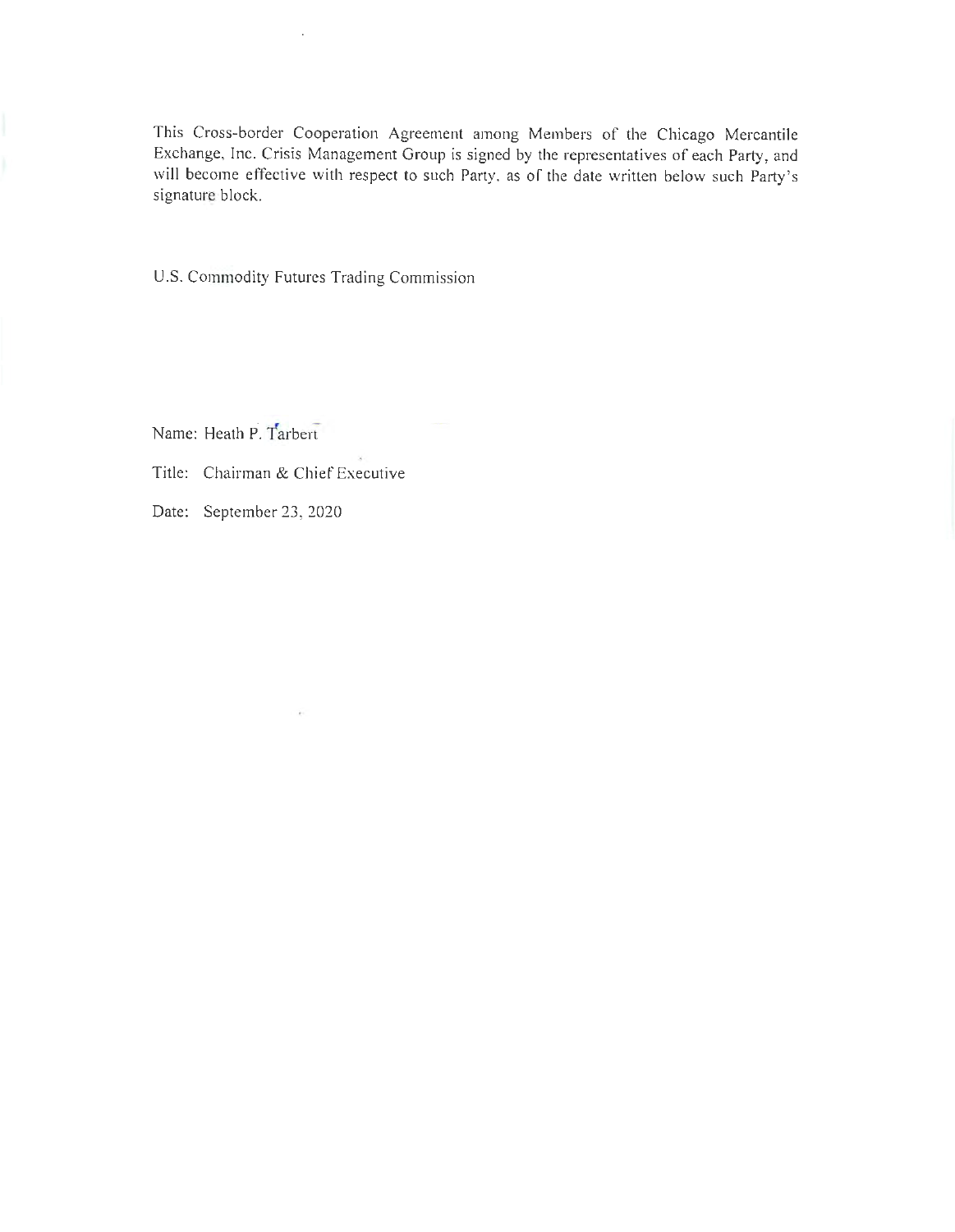This Cross-border Cooperation Agreement among Members of the Chicago Mercantile Exchange, Inc. Crisis Management Group is signed by the representatives of each Party, and will become effective with respect to such Party, as of the date written below such Party 's signature block.

U.S. Commodity Futures Trading Commission

Name: Heath P. Tarbert

Title: Chairman & Chief Executive

 $\sim$ 

Date: September 23, 2020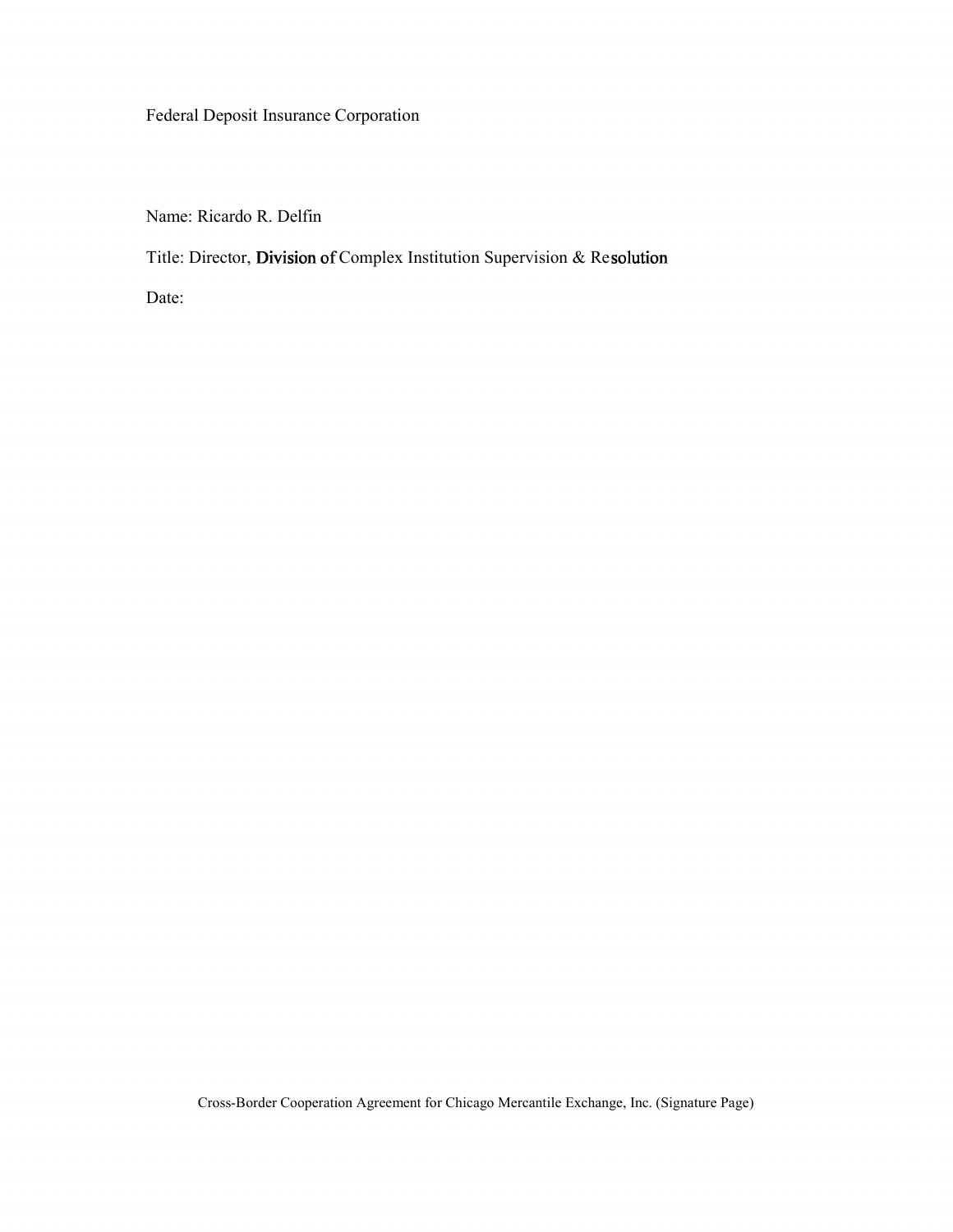Federal Deposit Insurance Corporation

Name: Ricardo R. Delfin

Title: Director, **Division** of Complex Institution Supervision & Re**solution** 

Date: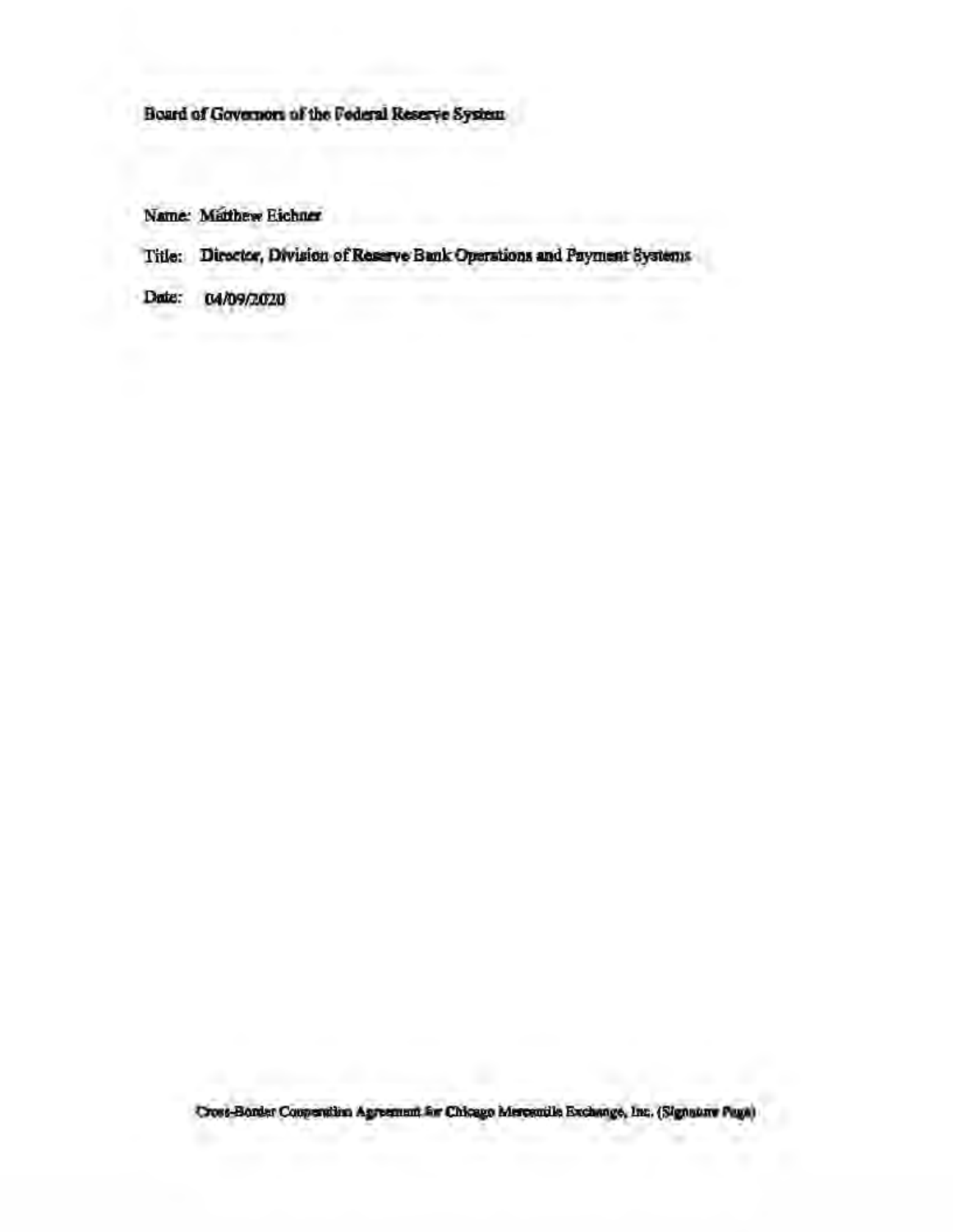# Board of Governors of the Federal Reserve System

Name: Matthew Eichner

Title: Director, Division of Reserve Bank Operations and Payment Systems

Date: 04/09/2020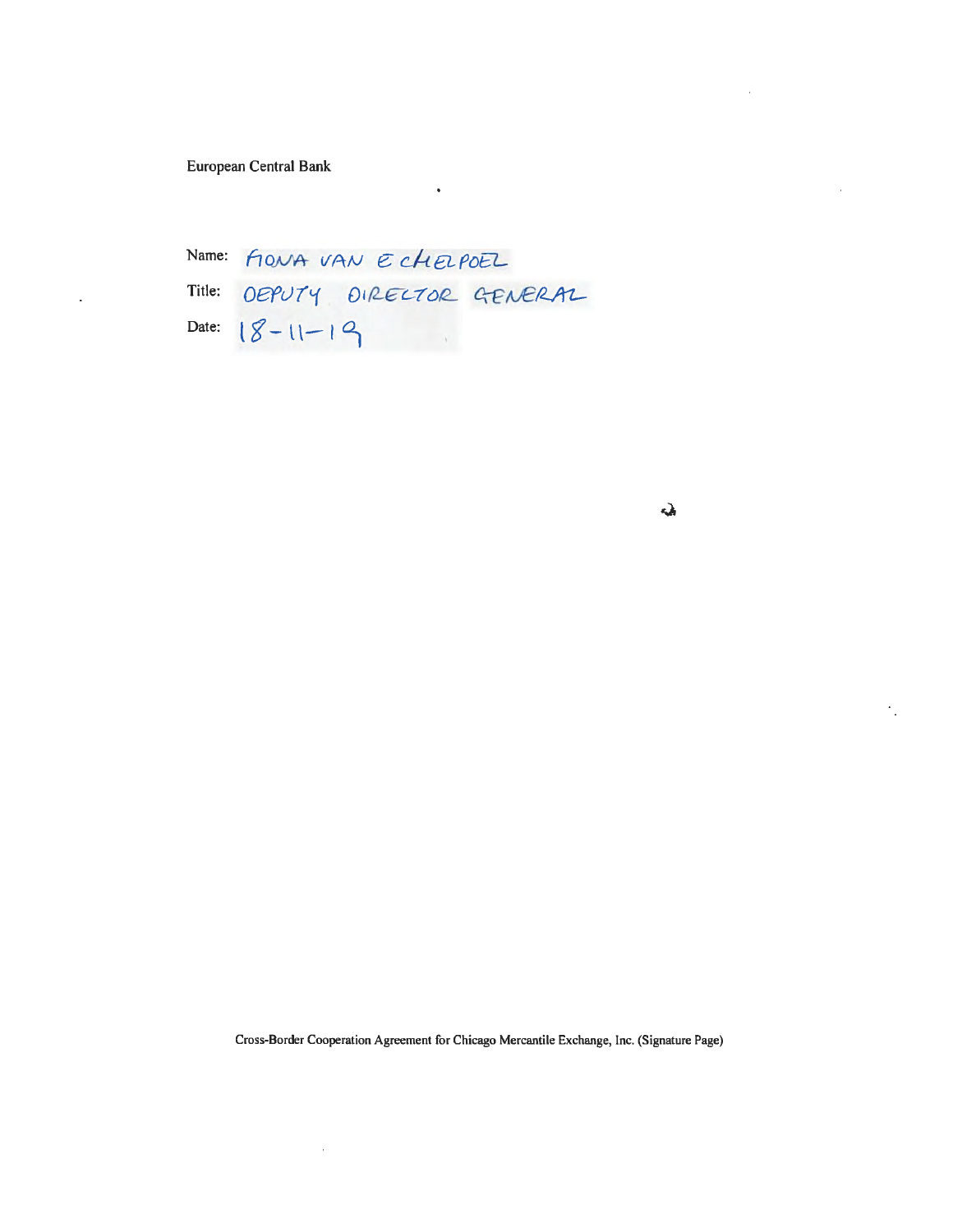European Central Bank

Name: FLONA VAN E CHELPOEL Title: OEPUTY DIRECTOR GENERAL<br>Date: 18-11-19

 $\ddot{\bullet}$ 

 $\Delta$ 

 $\cdot$  .

Cross-Border Cooperation Agreement for Chicago Mercantile Exchange, Inc. (Signature Page)

 $\hat{\boldsymbol{\beta}}$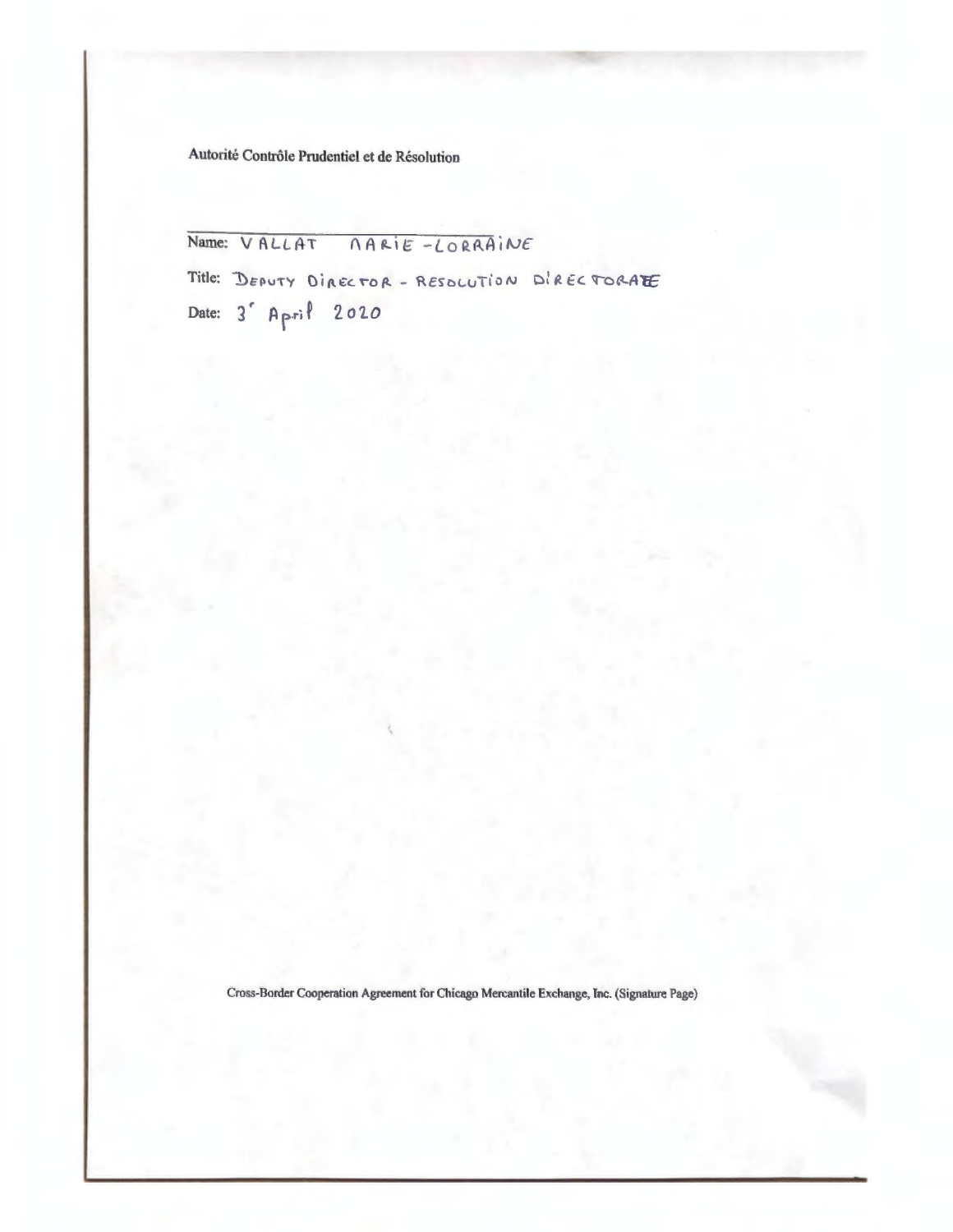Autorité Contrôle Prudentiel et de Résolution

Name: VALLAT NARIE-LORRAINE

Title: DEPUTY DIRECTOR - RESOLUTION DIRECTORATE Date: 3' April 2020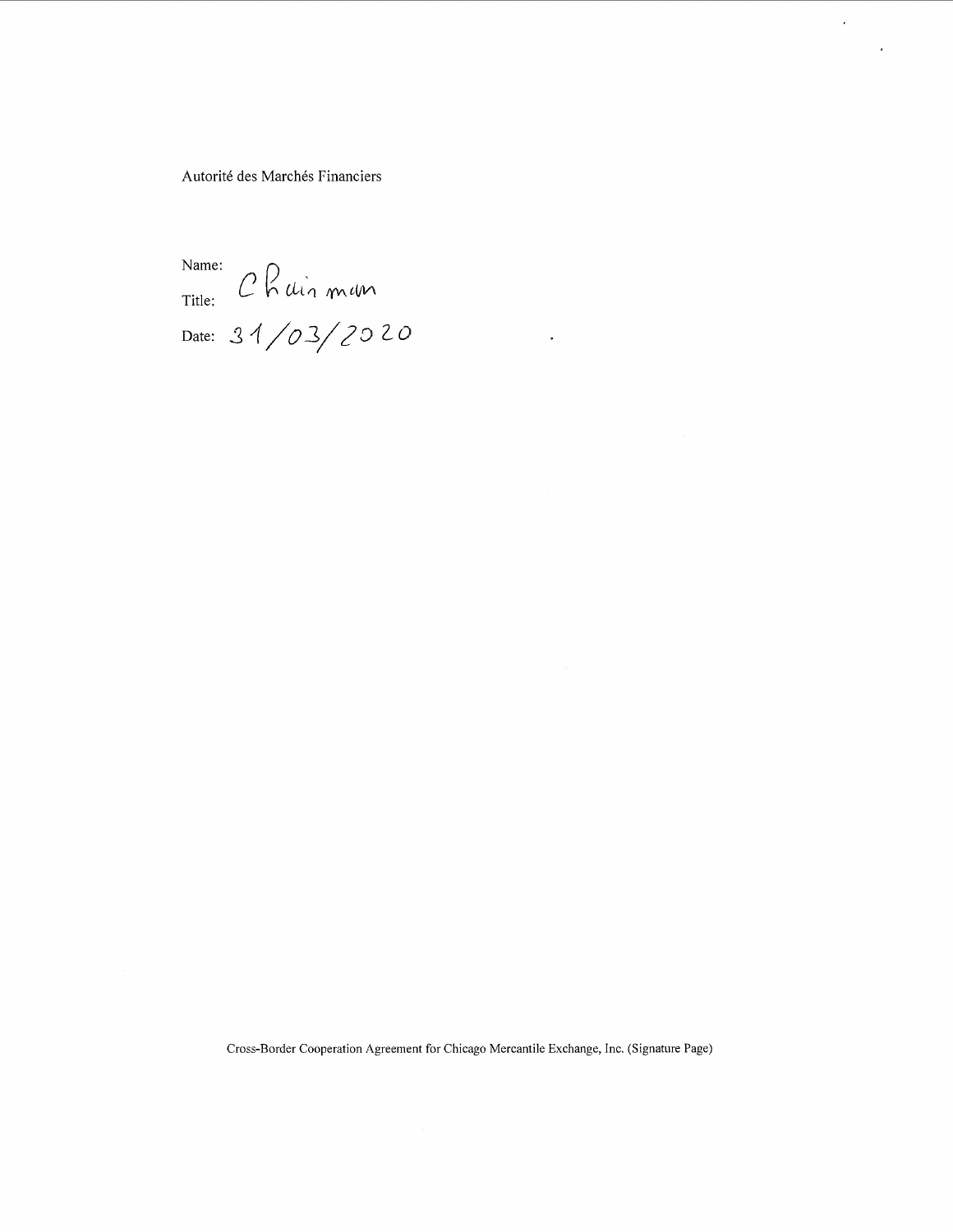Autorité des Marchés Financiers

Name: Title: Date: 31/*03*/*20* 2*0* 

Cross-Border Cooperation Agreement for Chicago Mercantile Exchange, Inc. (Signature Page)

 $\hat{\boldsymbol{\theta}}$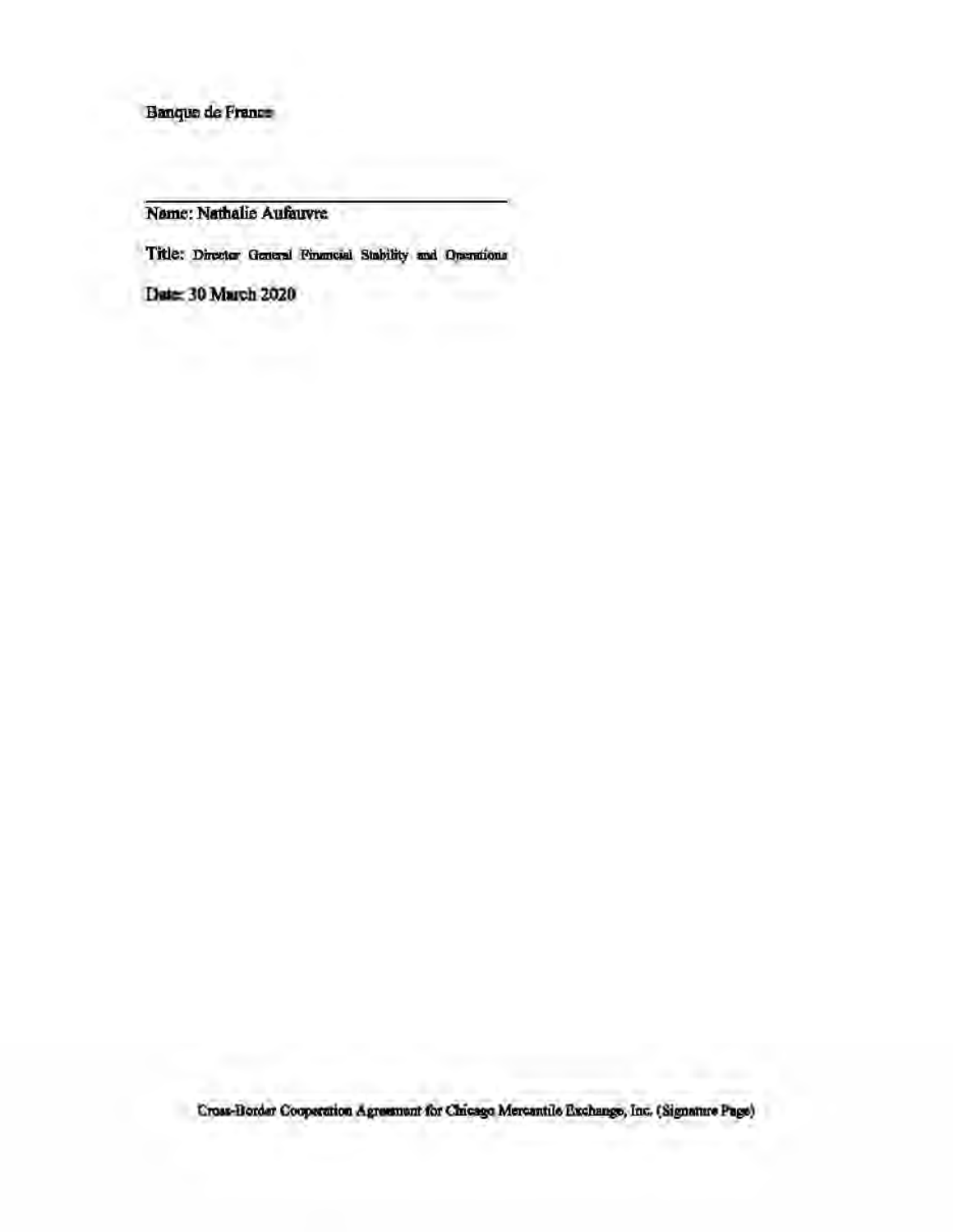Banque de France

Name: Nathalie Aufauvre

Title: Director General Financial Stability and Operations

Date: 30 March 2020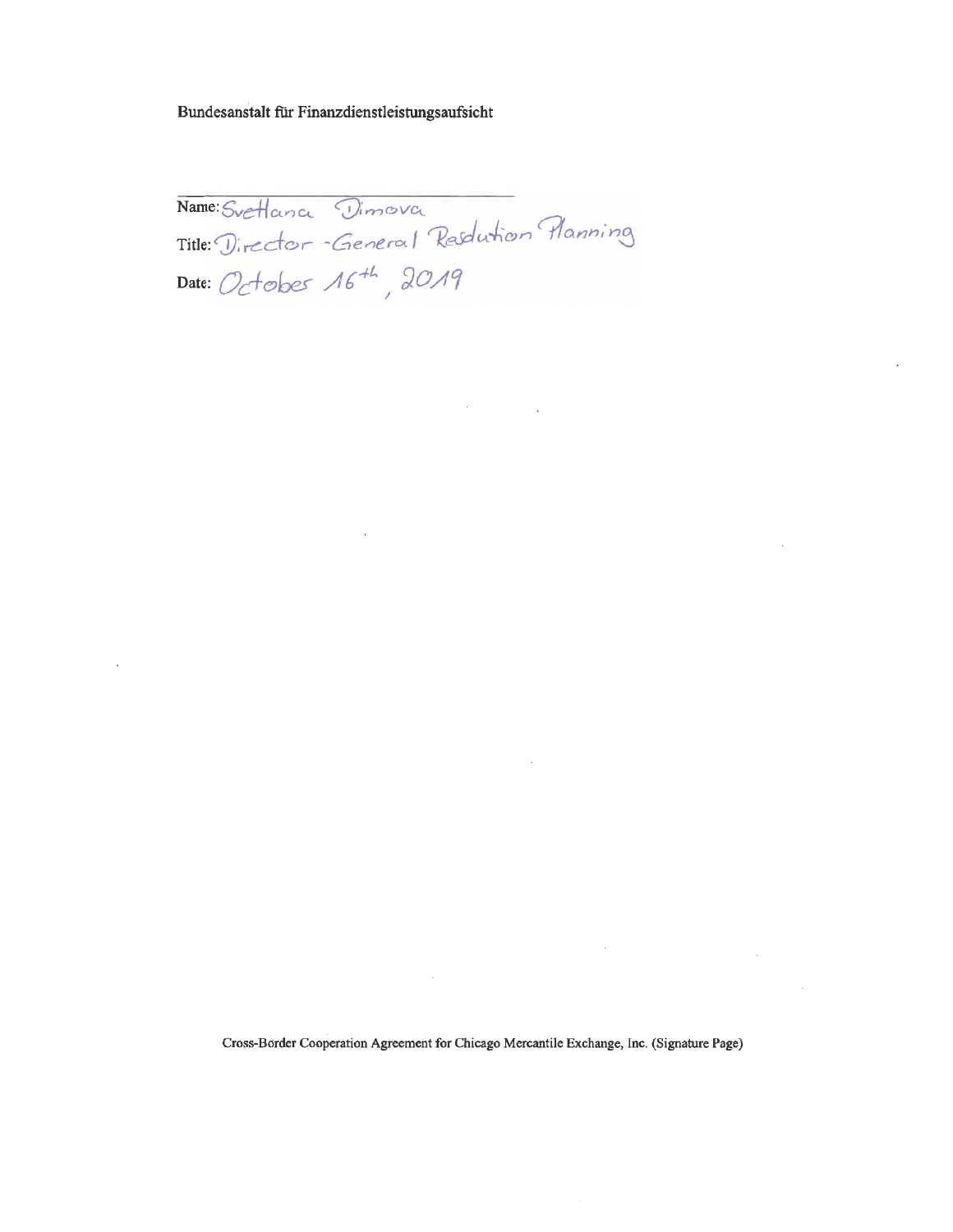Bundesanstalt für Finanzdienstleistungsaufsicht

Name: Svetlana Dimova<br>Title: Director - General Rasdution Flanning Date: Octobes 16<sup>+1</sup>, 2019

 $\mathcal{A}^{\mathcal{A}}$  and  $\mathcal{A}^{\mathcal{A}}$  and  $\mathcal{A}^{\mathcal{A}}$ 

 $\sim$ 

Cross-Border Cooperation Agreement for Chicago Mercantile Exchange, Inc. (Signature Page)

 $\sim$ 

 $\sim 10$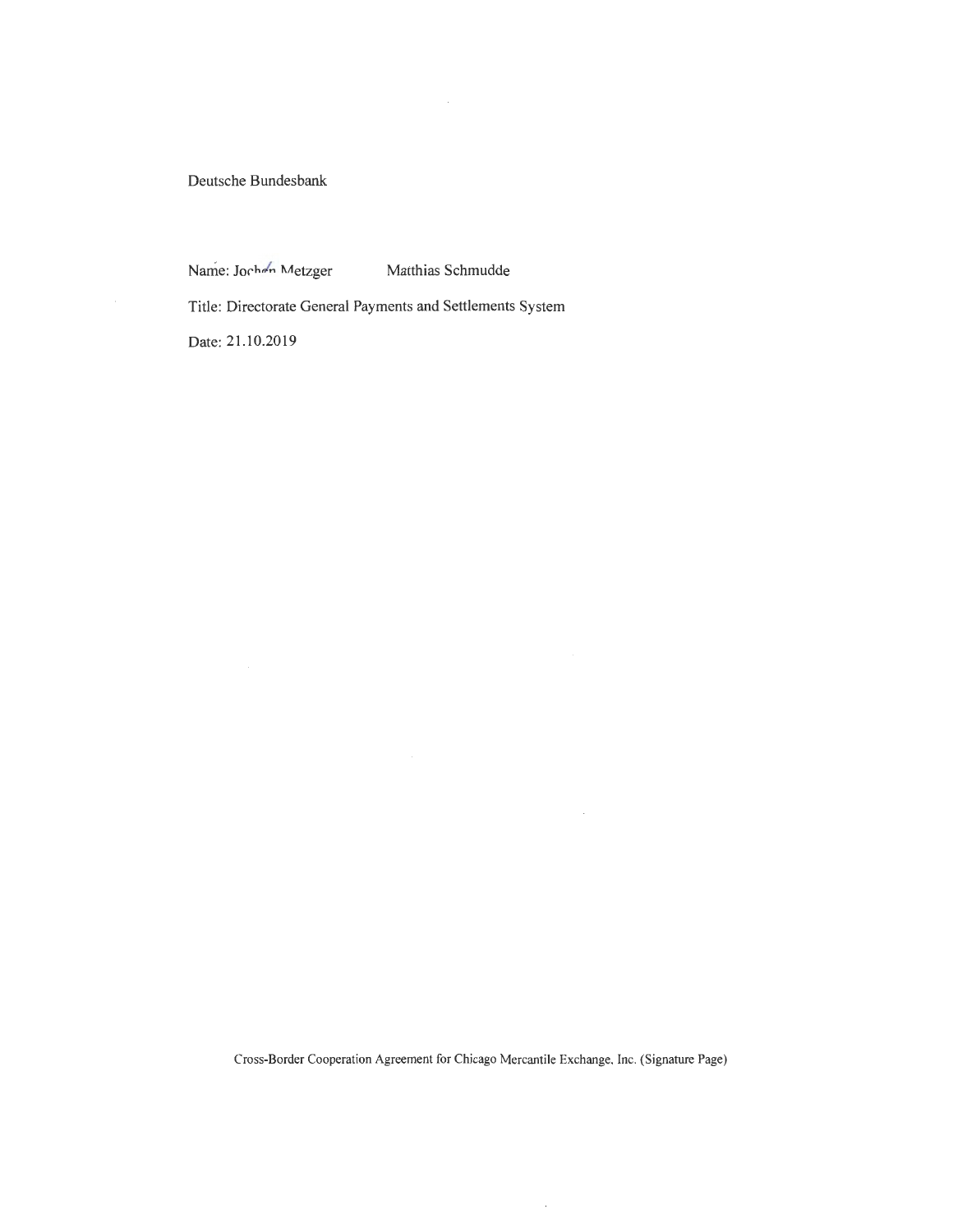Deutsche Bundesbank

Name: Jochen Metzger Matthias Schmudde

Title: Directorate General Payments and Settlements System

Date: 21.10.2019

Cross-Border Cooperation Agreement for Chicago Mercantile Exchange, Inc. (Signature Page)

 $\bar{z}$ 

 $\mathcal{A}$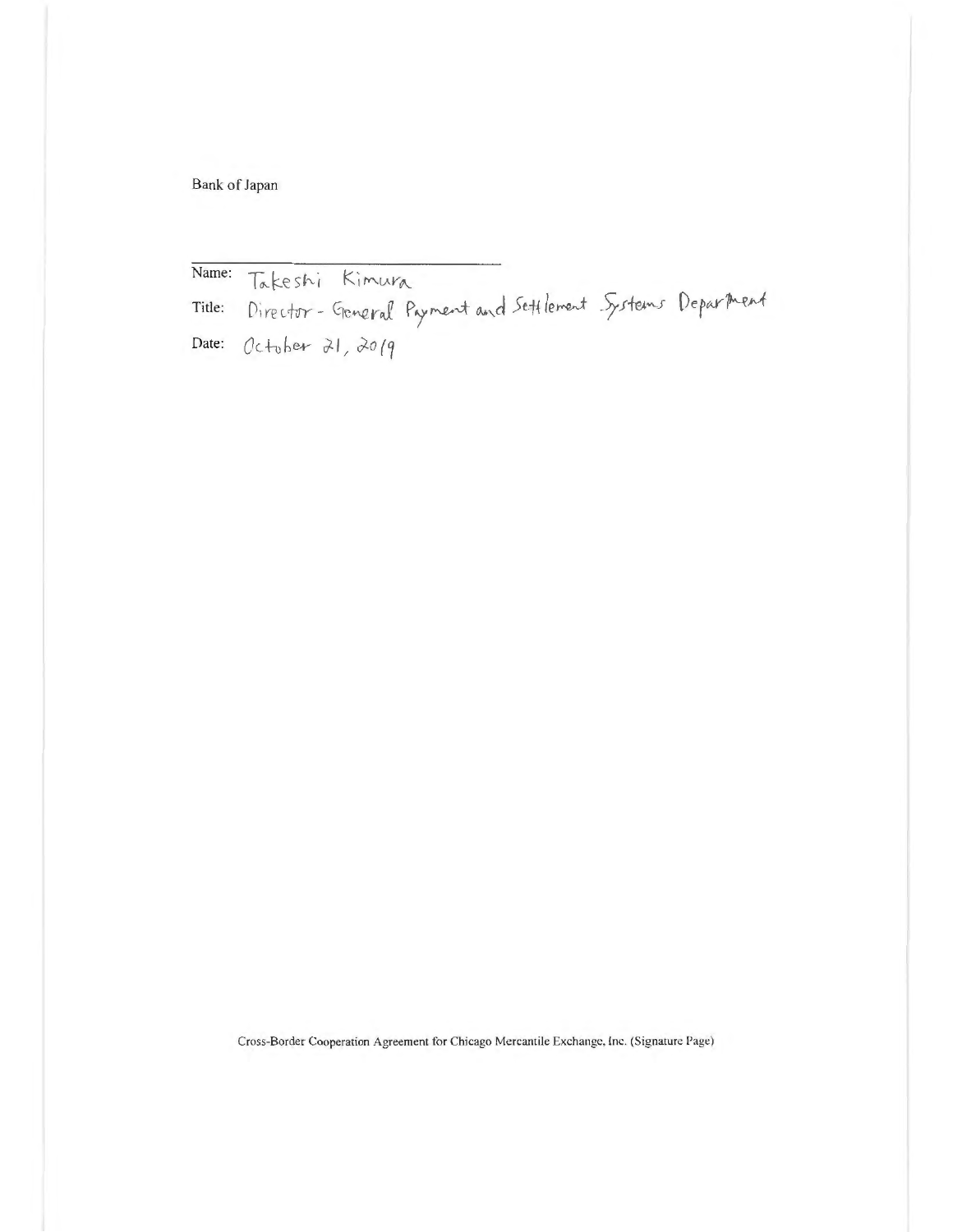Bank of Japan

Name: Takeshi Kimura<br>Title: Director-General Payment and Settlement Systems Department<br>Date: October 21, 2019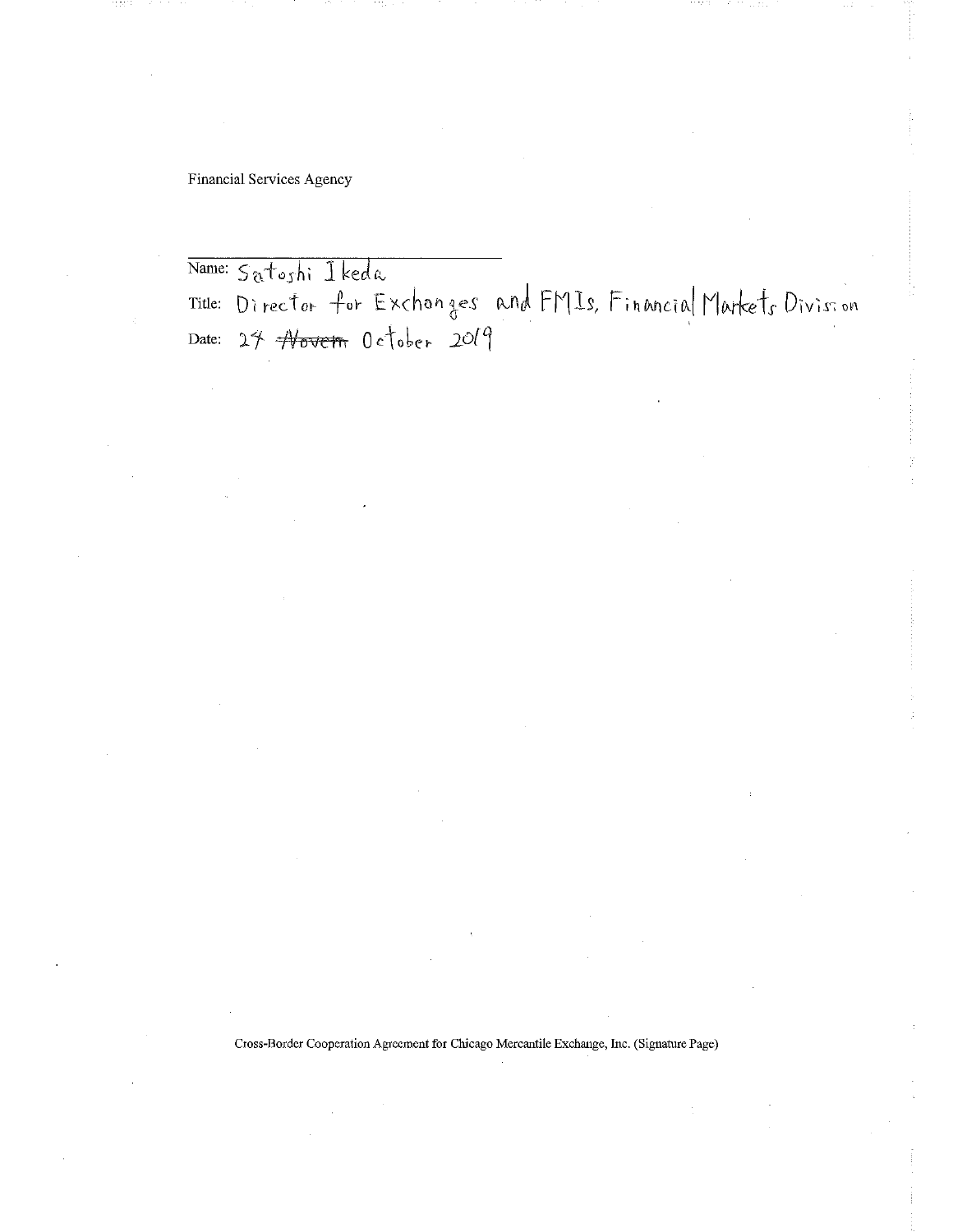**Financial Services Agency** 

Name: Satoshi Ikeda Title: Director for Exchanges and FMIs, Financial Markets Division<br>Date: 27 <del>Novem</del> October 2019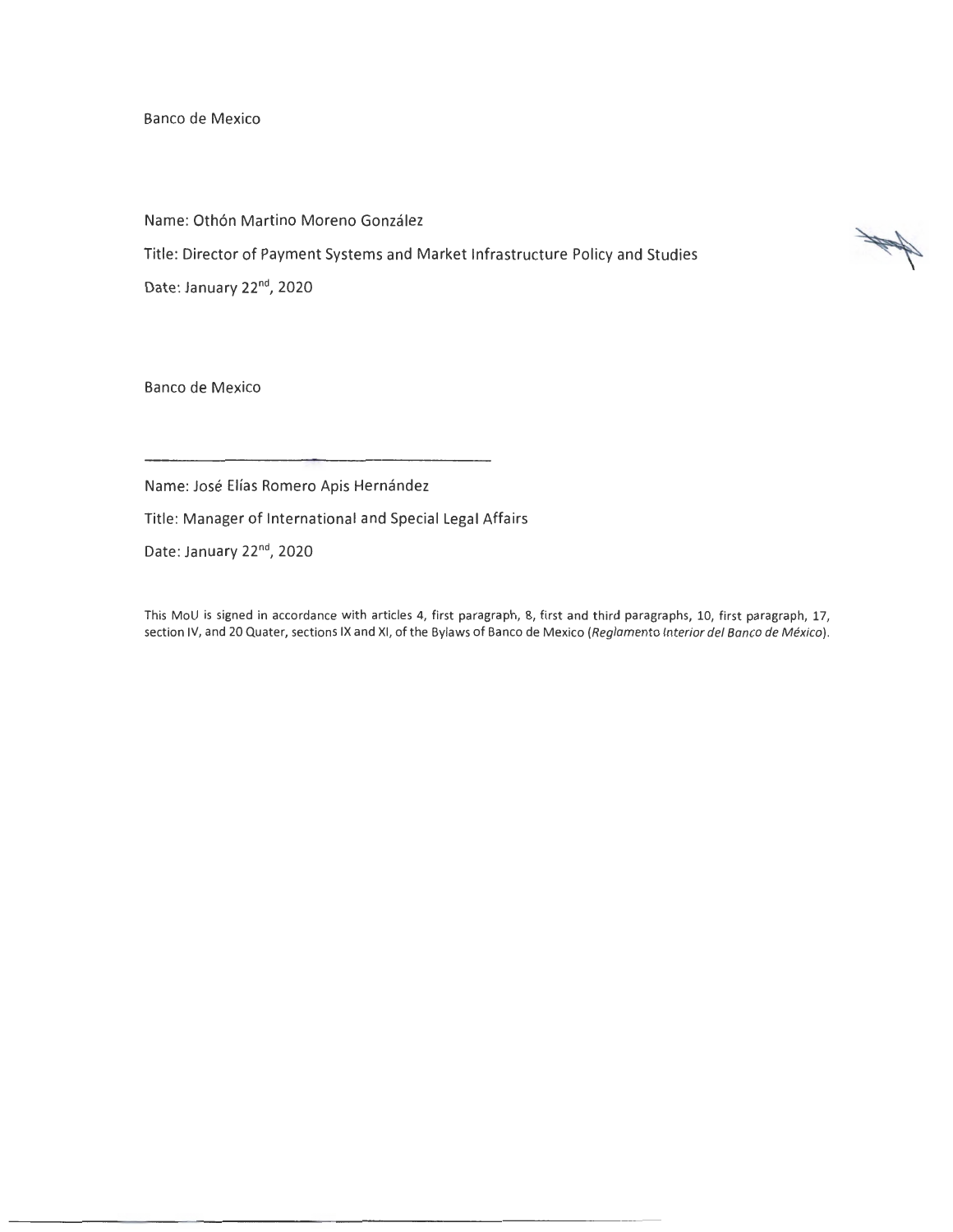Banco de Mexico

Name: Othón Martino Moreno González

Title: Director of Payment Systems and Market Infrastructure Policy and Studies

Date: January 22<sup>nd</sup>, 2020

Banco de Mexico

Name: José Elías Romero Apis Hernández

Title: Manager of International and Special Legal Affairs

Date: January 22<sup>nd</sup>, 2020

This MoU is signed in accordance with articles 4, first paragraph, 8, first and third paragraphs, 10, first paragraph, 17, section IV, and 20 Quater, sections IX and XI, of the Bylaws of Banco de Mexico (Reglamento Interior del Banco de México).

N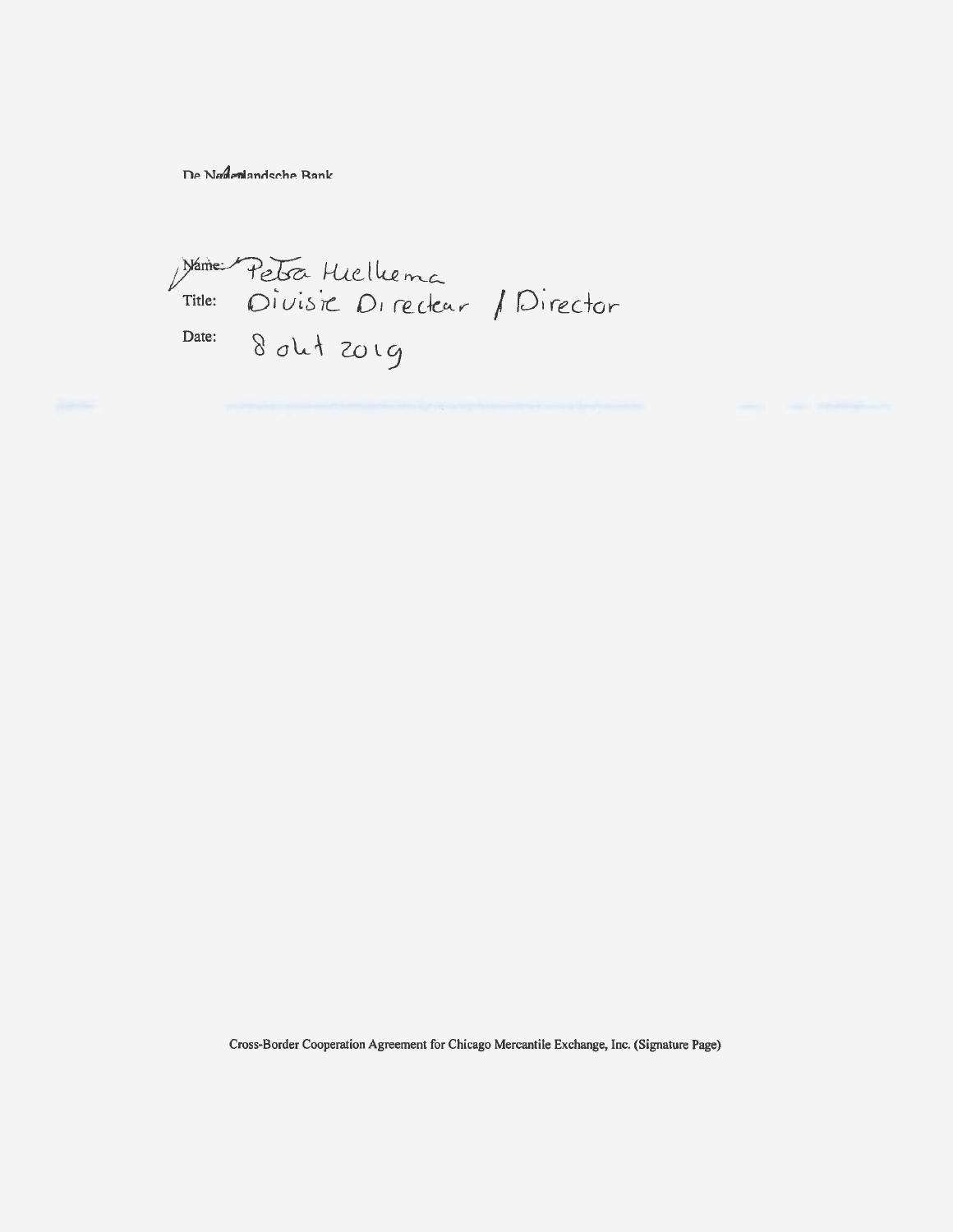De Nadenlandsche Bank

Name Petra Hielliema<br>Title: Divisie Directair / Director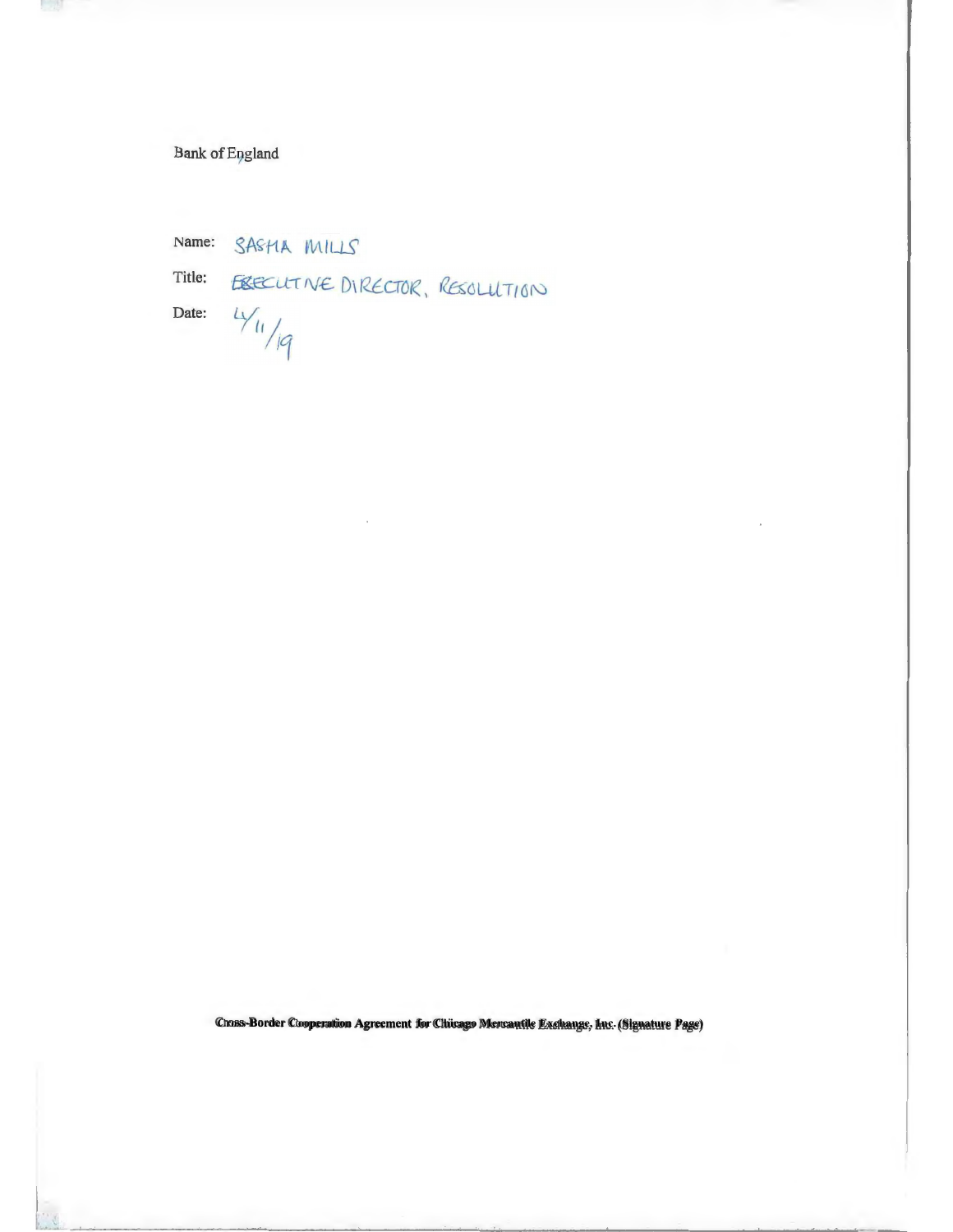# **Bank** of England

Name: SASHA MILLS

Title:

**Contract** 

EBECUTIVE DIRECTOR, RESOLUTION  $4\frac{4}{19}$ 

Date: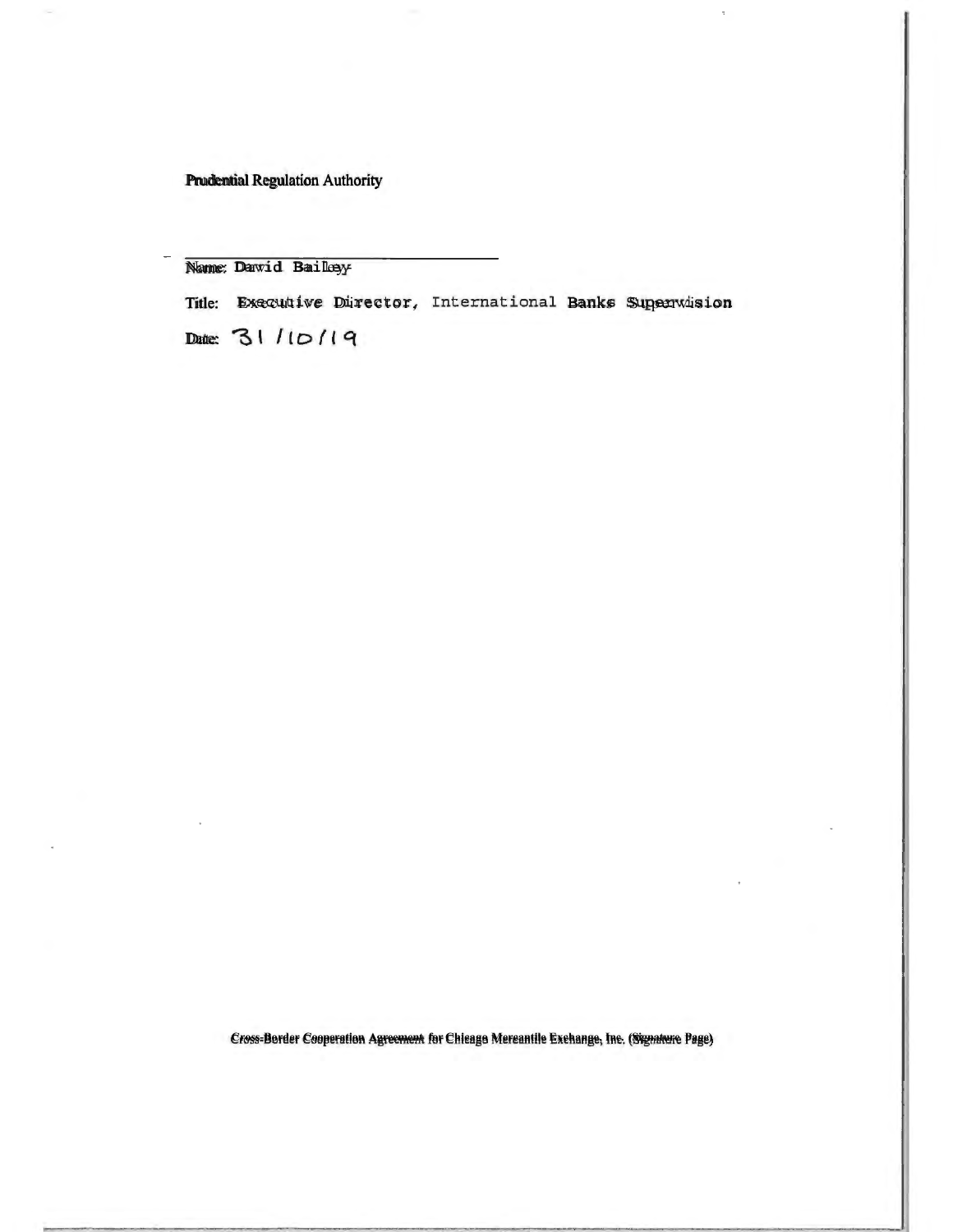Prudential Regulation Authority

Name: Dawid Bailey

Truckenhal Regulation Authority<br>Namme: Dawid Bailley<br>Title: Executive Director, International Banks Supervision<br>Date: 3 | / | | | | | | |

Date:  $31/10/19$ 

Cross-Border Cooperation Agreement for Chicago Mercantile Exchange, Inc. (Signature Page) Cross-Border Cooperation Agreement for Chicago Mercantile Exchange, Inc. (Signature Page)